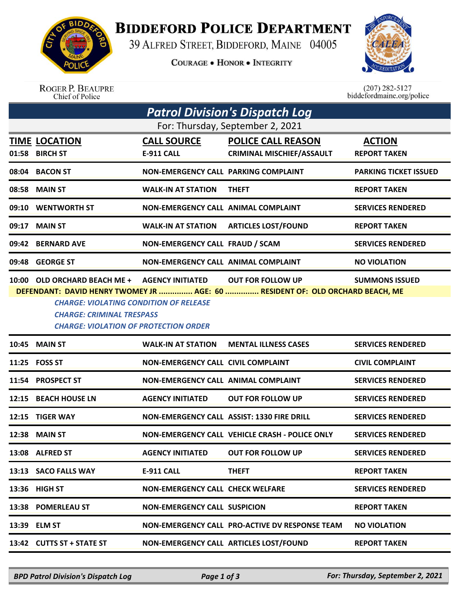

**BIDDEFORD POLICE DEPARTMENT** 

39 ALFRED STREET, BIDDEFORD, MAINE 04005

**COURAGE . HONOR . INTEGRITY** 



ROGER P. BEAUPRE<br>Chief of Police

 $(207)$  282-5127 biddefordmaine.org/police

| Patrol Division's Dispatch Log                                                                                                    |                                         |                                         |                                                                                                           |                                      |  |  |  |
|-----------------------------------------------------------------------------------------------------------------------------------|-----------------------------------------|-----------------------------------------|-----------------------------------------------------------------------------------------------------------|--------------------------------------|--|--|--|
| For: Thursday, September 2, 2021                                                                                                  |                                         |                                         |                                                                                                           |                                      |  |  |  |
| 01:58                                                                                                                             | <b>TIME LOCATION</b><br><b>BIRCH ST</b> | <b>CALL SOURCE</b><br>E-911 CALL        | <b>POLICE CALL REASON</b><br><b>CRIMINAL MISCHIEF/ASSAULT</b>                                             | <b>ACTION</b><br><b>REPORT TAKEN</b> |  |  |  |
| 08:04                                                                                                                             | <b>BACON ST</b>                         | NON-EMERGENCY CALL PARKING COMPLAINT    |                                                                                                           | <b>PARKING TICKET ISSUED</b>         |  |  |  |
| 08:58                                                                                                                             | <b>MAIN ST</b>                          | <b>WALK-IN AT STATION</b>               | <b>THEFT</b>                                                                                              | <b>REPORT TAKEN</b>                  |  |  |  |
| 09:10                                                                                                                             | <b>WENTWORTH ST</b>                     | NON-EMERGENCY CALL ANIMAL COMPLAINT     |                                                                                                           | <b>SERVICES RENDERED</b>             |  |  |  |
| 09:17                                                                                                                             | <b>MAIN ST</b>                          | <b>WALK-IN AT STATION</b>               | <b>ARTICLES LOST/FOUND</b>                                                                                | <b>REPORT TAKEN</b>                  |  |  |  |
|                                                                                                                                   | 09:42 BERNARD AVE                       | NON-EMERGENCY CALL FRAUD / SCAM         |                                                                                                           | <b>SERVICES RENDERED</b>             |  |  |  |
| 09:48                                                                                                                             | <b>GEORGE ST</b>                        | NON-EMERGENCY CALL ANIMAL COMPLAINT     |                                                                                                           | <b>NO VIOLATION</b>                  |  |  |  |
|                                                                                                                                   | 10:00 OLD ORCHARD BEACH ME +            | <b>AGENCY INITIATED</b>                 | <b>OUT FOR FOLLOW UP</b><br>DEFENDANT: DAVID HENRY TWOMEY JR  AGE: 60  RESIDENT OF: OLD ORCHARD BEACH, ME | <b>SUMMONS ISSUED</b>                |  |  |  |
| <b>CHARGE: VIOLATING CONDITION OF RELEASE</b><br><b>CHARGE: CRIMINAL TRESPASS</b><br><b>CHARGE: VIOLATION OF PROTECTION ORDER</b> |                                         |                                         |                                                                                                           |                                      |  |  |  |
|                                                                                                                                   | <b>10:45 MAIN ST</b>                    | <b>WALK-IN AT STATION</b>               | <b>MENTAL ILLNESS CASES</b>                                                                               | <b>SERVICES RENDERED</b>             |  |  |  |
|                                                                                                                                   | 11:25 FOSS ST                           | NON-EMERGENCY CALL CIVIL COMPLAINT      |                                                                                                           | <b>CIVIL COMPLAINT</b>               |  |  |  |
| 11:54                                                                                                                             | <b>PROSPECT ST</b>                      | NON-EMERGENCY CALL ANIMAL COMPLAINT     |                                                                                                           | <b>SERVICES RENDERED</b>             |  |  |  |
|                                                                                                                                   | 12:15 BEACH HOUSE LN                    | <b>AGENCY INITIATED</b>                 | <b>OUT FOR FOLLOW UP</b>                                                                                  | <b>SERVICES RENDERED</b>             |  |  |  |
| 12:15                                                                                                                             | <b>TIGER WAY</b>                        |                                         | NON-EMERGENCY CALL ASSIST: 1330 FIRE DRILL                                                                | <b>SERVICES RENDERED</b>             |  |  |  |
|                                                                                                                                   | 12:38 MAIN ST                           |                                         | NON-EMERGENCY CALL VEHICLE CRASH - POLICE ONLY                                                            | <b>SERVICES RENDERED</b>             |  |  |  |
|                                                                                                                                   | 13:08 ALFRED ST                         | <b>AGENCY INITIATED</b>                 | <b>OUT FOR FOLLOW UP</b>                                                                                  | <b>SERVICES RENDERED</b>             |  |  |  |
|                                                                                                                                   | 13:13 SACO FALLS WAY                    | E-911 CALL                              | <b>THEFT</b>                                                                                              | <b>REPORT TAKEN</b>                  |  |  |  |
|                                                                                                                                   | 13:36 HIGH ST                           | <b>NON-EMERGENCY CALL CHECK WELFARE</b> |                                                                                                           | <b>SERVICES RENDERED</b>             |  |  |  |
|                                                                                                                                   | 13:38 POMERLEAU ST                      | <b>NON-EMERGENCY CALL SUSPICION</b>     |                                                                                                           | <b>REPORT TAKEN</b>                  |  |  |  |
|                                                                                                                                   | 13:39 ELM ST                            |                                         | NON-EMERGENCY CALL PRO-ACTIVE DV RESPONSE TEAM                                                            | <b>NO VIOLATION</b>                  |  |  |  |
|                                                                                                                                   | 13:42 CUTTS ST + STATE ST               |                                         | NON-EMERGENCY CALL ARTICLES LOST/FOUND                                                                    | <b>REPORT TAKEN</b>                  |  |  |  |

*BPD Patrol Division's Dispatch Log Page 1 of 3 For: Thursday, September 2, 2021*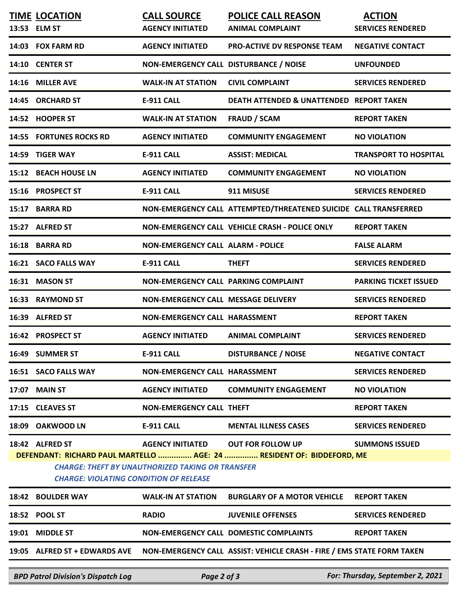|                                                                                                                                                                                   | <b>TIME LOCATION</b><br>13:53 ELM ST | <b>CALL SOURCE</b><br><b>AGENCY INITIATED</b> | <b>POLICE CALL REASON</b><br><b>ANIMAL COMPLAINT</b>                   | <b>ACTION</b><br><b>SERVICES RENDERED</b> |  |  |  |
|-----------------------------------------------------------------------------------------------------------------------------------------------------------------------------------|--------------------------------------|-----------------------------------------------|------------------------------------------------------------------------|-------------------------------------------|--|--|--|
|                                                                                                                                                                                   | 14:03 FOX FARM RD                    | <b>AGENCY INITIATED</b>                       | <b>PRO-ACTIVE DV RESPONSE TEAM</b>                                     | <b>NEGATIVE CONTACT</b>                   |  |  |  |
|                                                                                                                                                                                   | 14:10 CENTER ST                      | NON-EMERGENCY CALL DISTURBANCE / NOISE        |                                                                        | <b>UNFOUNDED</b>                          |  |  |  |
|                                                                                                                                                                                   | 14:16 MILLER AVE                     | <b>WALK-IN AT STATION</b>                     | <b>CIVIL COMPLAINT</b>                                                 | <b>SERVICES RENDERED</b>                  |  |  |  |
|                                                                                                                                                                                   | 14:45 ORCHARD ST                     | <b>E-911 CALL</b>                             | DEATH ATTENDED & UNATTENDED REPORT TAKEN                               |                                           |  |  |  |
|                                                                                                                                                                                   | 14:52 HOOPER ST                      | <b>WALK-IN AT STATION</b>                     | <b>FRAUD / SCAM</b>                                                    | <b>REPORT TAKEN</b>                       |  |  |  |
|                                                                                                                                                                                   | <b>14:55 FORTUNES ROCKS RD</b>       | <b>AGENCY INITIATED</b>                       | <b>COMMUNITY ENGAGEMENT</b>                                            | <b>NO VIOLATION</b>                       |  |  |  |
|                                                                                                                                                                                   | 14:59 TIGER WAY                      | <b>E-911 CALL</b>                             | <b>ASSIST: MEDICAL</b>                                                 | <b>TRANSPORT TO HOSPITAL</b>              |  |  |  |
|                                                                                                                                                                                   | 15:12 BEACH HOUSE LN                 | <b>AGENCY INITIATED</b>                       | <b>COMMUNITY ENGAGEMENT</b>                                            | <b>NO VIOLATION</b>                       |  |  |  |
|                                                                                                                                                                                   | 15:16 PROSPECT ST                    | <b>E-911 CALL</b>                             | 911 MISUSE                                                             | <b>SERVICES RENDERED</b>                  |  |  |  |
|                                                                                                                                                                                   | 15:17 BARRA RD                       |                                               | NON-EMERGENCY CALL ATTEMPTED/THREATENED SUICIDE CALL TRANSFERRED       |                                           |  |  |  |
|                                                                                                                                                                                   | 15:27 ALFRED ST                      |                                               | NON-EMERGENCY CALL VEHICLE CRASH - POLICE ONLY                         | <b>REPORT TAKEN</b>                       |  |  |  |
|                                                                                                                                                                                   | 16:18 BARRA RD                       | <b>NON-EMERGENCY CALL ALARM - POLICE</b>      |                                                                        | <b>FALSE ALARM</b>                        |  |  |  |
|                                                                                                                                                                                   | 16:21 SACO FALLS WAY                 | <b>E-911 CALL</b>                             | <b>THEFT</b>                                                           | <b>SERVICES RENDERED</b>                  |  |  |  |
|                                                                                                                                                                                   | 16:31 MASON ST                       | NON-EMERGENCY CALL PARKING COMPLAINT          |                                                                        | <b>PARKING TICKET ISSUED</b>              |  |  |  |
|                                                                                                                                                                                   | 16:33 RAYMOND ST                     | NON-EMERGENCY CALL MESSAGE DELIVERY           |                                                                        | <b>SERVICES RENDERED</b>                  |  |  |  |
|                                                                                                                                                                                   | 16:39 ALFRED ST                      | NON-EMERGENCY CALL HARASSMENT                 |                                                                        | <b>REPORT TAKEN</b>                       |  |  |  |
|                                                                                                                                                                                   | 16:42 PROSPECT ST                    | <b>AGENCY INITIATED</b>                       | <b>ANIMAL COMPLAINT</b>                                                | <b>SERVICES RENDERED</b>                  |  |  |  |
|                                                                                                                                                                                   | 16:49 SUMMER ST                      | <b>E-911 CALL</b>                             | <b>DISTURBANCE / NOISE</b>                                             | <b>NEGATIVE CONTACT</b>                   |  |  |  |
|                                                                                                                                                                                   | 16:51 SACO FALLS WAY                 | NON-EMERGENCY CALL HARASSMENT                 |                                                                        | <b>SERVICES RENDERED</b>                  |  |  |  |
|                                                                                                                                                                                   | 17:07 MAIN ST                        | <b>AGENCY INITIATED</b>                       | <b>COMMUNITY ENGAGEMENT</b>                                            | <b>NO VIOLATION</b>                       |  |  |  |
|                                                                                                                                                                                   | 17:15 CLEAVES ST                     | <b>NON-EMERGENCY CALL THEFT</b>               |                                                                        | <b>REPORT TAKEN</b>                       |  |  |  |
|                                                                                                                                                                                   | 18:09 OAKWOOD LN                     | <b>E-911 CALL</b>                             | <b>MENTAL ILLNESS CASES</b>                                            | <b>SERVICES RENDERED</b>                  |  |  |  |
|                                                                                                                                                                                   | 18:42 ALFRED ST                      |                                               | AGENCY INITIATED OUT FOR FOLLOW UP                                     | <b>SUMMONS ISSUED</b>                     |  |  |  |
| DEFENDANT: RICHARD PAUL MARTELLO  AGE: 24  RESIDENT OF: BIDDEFORD, ME<br><b>CHARGE: THEFT BY UNAUTHORIZED TAKING OR TRANSFER</b><br><b>CHARGE: VIOLATING CONDITION OF RELEASE</b> |                                      |                                               |                                                                        |                                           |  |  |  |
|                                                                                                                                                                                   | 18:42 BOULDER WAY                    | <b>WALK-IN AT STATION</b>                     | <b>BURGLARY OF A MOTOR VEHICLE</b>                                     | <b>REPORT TAKEN</b>                       |  |  |  |
|                                                                                                                                                                                   | 18:52 POOL ST                        | <b>RADIO</b>                                  | <b>JUVENILE OFFENSES</b>                                               | <b>SERVICES RENDERED</b>                  |  |  |  |
|                                                                                                                                                                                   | 19:01 MIDDLE ST                      |                                               | NON-EMERGENCY CALL DOMESTIC COMPLAINTS                                 | <b>REPORT TAKEN</b>                       |  |  |  |
|                                                                                                                                                                                   | 19:05 ALFRED ST + EDWARDS AVE        |                                               | NON-EMERGENCY CALL ASSIST: VEHICLE CRASH - FIRE / EMS STATE FORM TAKEN |                                           |  |  |  |

*BPD Patrol Division's Dispatch Log Page 2 of 3 For: Thursday, September 2, 2021*